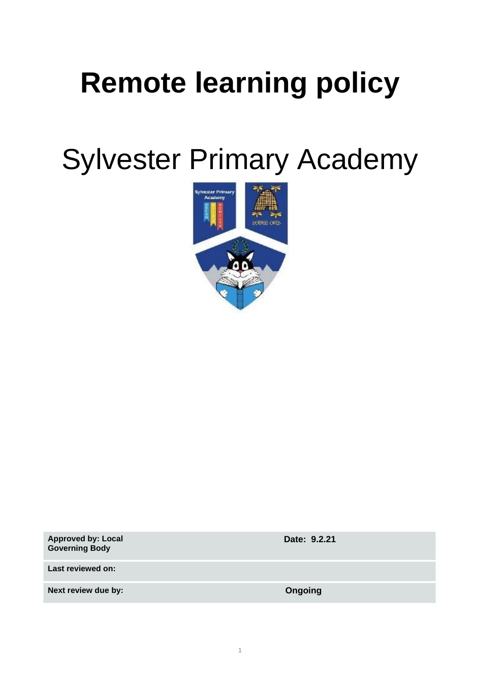# **Remote learning policy**

Sylvester Primary Academy



| <b>Approved by: Local</b><br><b>Governing Body</b> | Date: 9.2.21 |
|----------------------------------------------------|--------------|
| Last reviewed on:                                  |              |
| Next review due by:                                | Ongoing      |
|                                                    |              |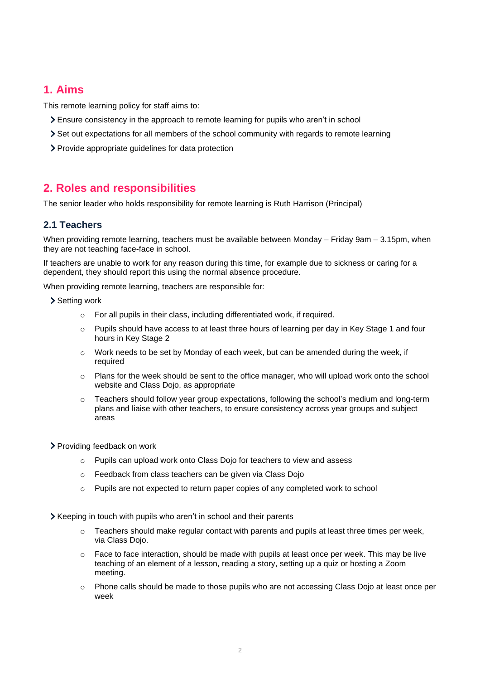# **1. Aims**

This remote learning policy for staff aims to:

- Ensure consistency in the approach to remote learning for pupils who aren't in school
- Set out expectations for all members of the school community with regards to remote learning
- Provide appropriate guidelines for data protection

# **2. Roles and responsibilities**

The senior leader who holds responsibility for remote learning is Ruth Harrison (Principal)

# **2.1 Teachers**

When providing remote learning, teachers must be available between Monday – Friday 9am – 3.15pm, when they are not teaching face-face in school.

If teachers are unable to work for any reason during this time, for example due to sickness or caring for a dependent, they should report this using the normal absence procedure.

When providing remote learning, teachers are responsible for:

> Setting work

- o For all pupils in their class, including differentiated work, if required.
- $\circ$  Pupils should have access to at least three hours of learning per day in Key Stage 1 and four hours in Key Stage 2
- $\circ$  Work needs to be set by Monday of each week, but can be amended during the week, if required
- o Plans for the week should be sent to the office manager, who will upload work onto the school website and Class Dojo, as appropriate
- $\circ$  Teachers should follow year group expectations, following the school's medium and long-term plans and liaise with other teachers, to ensure consistency across year groups and subject areas
- > Providing feedback on work
	- $\circ$  Pupils can upload work onto Class Dojo for teachers to view and assess
	- o Feedback from class teachers can be given via Class Dojo
	- o Pupils are not expected to return paper copies of any completed work to school

Xeeping in touch with pupils who aren't in school and their parents

- $\circ$  Teachers should make regular contact with parents and pupils at least three times per week, via Class Dojo.
- $\circ$  Face to face interaction, should be made with pupils at least once per week. This may be live teaching of an element of a lesson, reading a story, setting up a quiz or hosting a Zoom meeting.
- o Phone calls should be made to those pupils who are not accessing Class Dojo at least once per week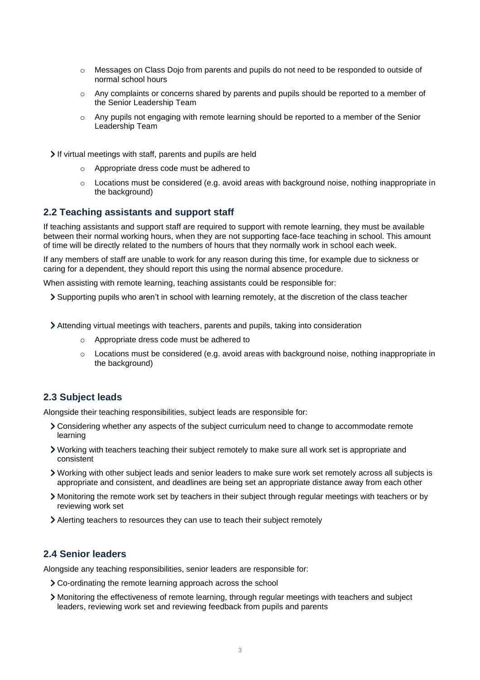- o Messages on Class Dojo from parents and pupils do not need to be responded to outside of normal school hours
- o Any complaints or concerns shared by parents and pupils should be reported to a member of the Senior Leadership Team
- $\circ$  Any pupils not engaging with remote learning should be reported to a member of the Senior Leadership Team

If virtual meetings with staff, parents and pupils are held

- o Appropriate dress code must be adhered to
- $\circ$  Locations must be considered (e.g. avoid areas with background noise, nothing inappropriate in the background)

#### **2.2 Teaching assistants and support staff**

If teaching assistants and support staff are required to support with remote learning, they must be available between their normal working hours, when they are not supporting face-face teaching in school. This amount of time will be directly related to the numbers of hours that they normally work in school each week.

If any members of staff are unable to work for any reason during this time, for example due to sickness or caring for a dependent, they should report this using the normal absence procedure.

When assisting with remote learning, teaching assistants could be responsible for:

Supporting pupils who aren't in school with learning remotely, at the discretion of the class teacher

Attending virtual meetings with teachers, parents and pupils, taking into consideration

- o Appropriate dress code must be adhered to
- $\circ$  Locations must be considered (e.g. avoid areas with background noise, nothing inappropriate in the background)

# **2.3 Subject leads**

Alongside their teaching responsibilities, subject leads are responsible for:

- Considering whether any aspects of the subject curriculum need to change to accommodate remote learning
- Working with teachers teaching their subject remotely to make sure all work set is appropriate and consistent
- Working with other subject leads and senior leaders to make sure work set remotely across all subjects is appropriate and consistent, and deadlines are being set an appropriate distance away from each other
- Monitoring the remote work set by teachers in their subject through regular meetings with teachers or by reviewing work set
- Alerting teachers to resources they can use to teach their subject remotely

# **2.4 Senior leaders**

Alongside any teaching responsibilities, senior leaders are responsible for:

- Co-ordinating the remote learning approach across the school
- Monitoring the effectiveness of remote learning, through regular meetings with teachers and subject leaders, reviewing work set and reviewing feedback from pupils and parents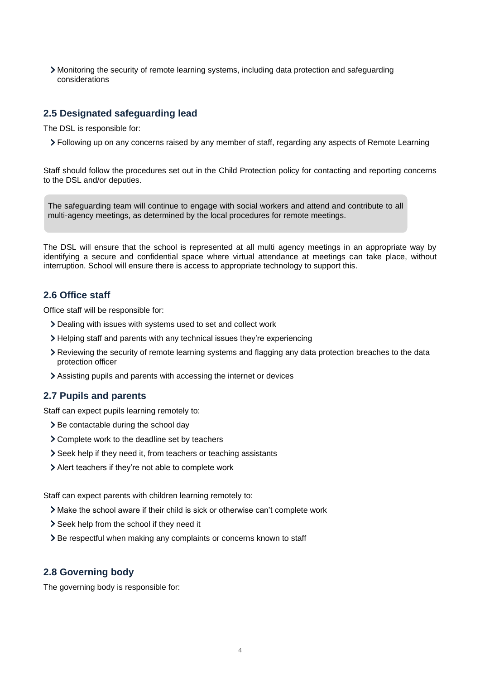Monitoring the security of remote learning systems, including data protection and safeguarding considerations

## **2.5 Designated safeguarding lead**

The DSL is responsible for:

Following up on any concerns raised by any member of staff, regarding any aspects of Remote Learning

Staff should follow the procedures set out in the Child Protection policy for contacting and reporting concerns to the DSL and/or deputies.

The safeguarding team will continue to engage with social workers and attend and contribute to all multi-agency meetings, as determined by the local procedures for remote meetings.

The DSL will ensure that the school is represented at all multi agency meetings in an appropriate way by identifying a secure and confidential space where virtual attendance at meetings can take place, without interruption. School will ensure there is access to appropriate technology to support this.

## **2.6 Office staff**

Office staff will be responsible for:

- Dealing with issues with systems used to set and collect work
- Helping staff and parents with any technical issues they're experiencing
- Reviewing the security of remote learning systems and flagging any data protection breaches to the data protection officer
- Assisting pupils and parents with accessing the internet or devices

## **2.7 Pupils and parents**

Staff can expect pupils learning remotely to:

- > Be contactable during the school day
- Complete work to the deadline set by teachers
- Seek help if they need it, from teachers or teaching assistants
- Alert teachers if they're not able to complete work

Staff can expect parents with children learning remotely to:

- Make the school aware if their child is sick or otherwise can't complete work
- > Seek help from the school if they need it
- > Be respectful when making any complaints or concerns known to staff

# **2.8 Governing body**

The governing body is responsible for: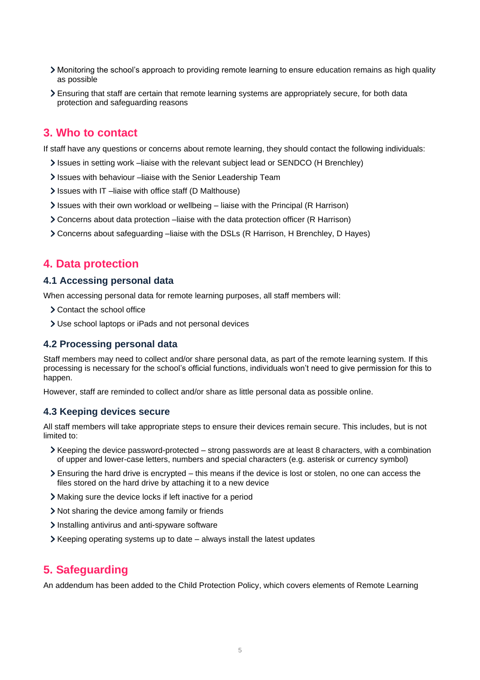- Monitoring the school's approach to providing remote learning to ensure education remains as high quality as possible
- Ensuring that staff are certain that remote learning systems are appropriately secure, for both data protection and safeguarding reasons

# **3. Who to contact**

If staff have any questions or concerns about remote learning, they should contact the following individuals:

- Issues in setting work –liaise with the relevant subject lead or SENDCO (H Brenchley)
- Issues with behaviour –liaise with the Senior Leadership Team
- Issues with IT-liaise with office staff (D Malthouse)
- Issues with their own workload or wellbeing liaise with the Principal (R Harrison)
- Concerns about data protection –liaise with the data protection officer (R Harrison)
- Concerns about safeguarding –liaise with the DSLs (R Harrison, H Brenchley, D Hayes)

# **4. Data protection**

#### **4.1 Accessing personal data**

When accessing personal data for remote learning purposes, all staff members will:

- > Contact the school office
- Use school laptops or iPads and not personal devices

#### **4.2 Processing personal data**

Staff members may need to collect and/or share personal data, as part of the remote learning system. If this processing is necessary for the school's official functions, individuals won't need to give permission for this to happen.

However, staff are reminded to collect and/or share as little personal data as possible online.

#### **4.3 Keeping devices secure**

All staff members will take appropriate steps to ensure their devices remain secure. This includes, but is not limited to:

- Keeping the device password-protected strong passwords are at least 8 characters, with a combination of upper and lower-case letters, numbers and special characters (e.g. asterisk or currency symbol)
- Ensuring the hard drive is encrypted this means if the device is lost or stolen, no one can access the files stored on the hard drive by attaching it to a new device
- Making sure the device locks if left inactive for a period
- Not sharing the device among family or friends
- Installing antivirus and anti-spyware software
- $\triangleright$  Keeping operating systems up to date always install the latest updates

# **5. Safeguarding**

An addendum has been added to the Child Protection Policy, which covers elements of Remote Learning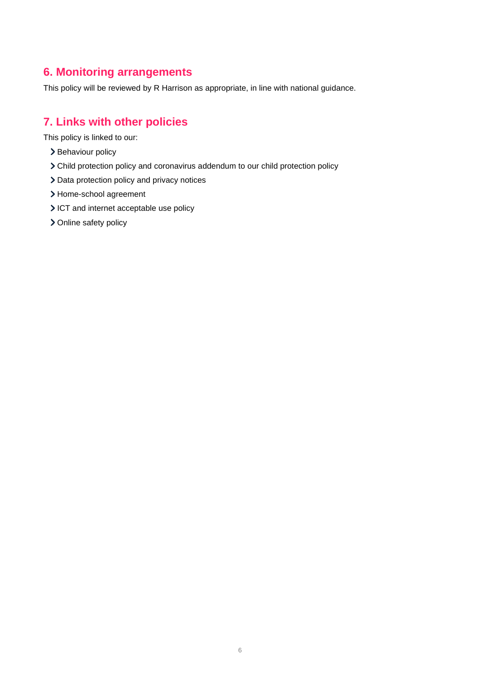# **6. Monitoring arrangements**

This policy will be reviewed by R Harrison as appropriate, in line with national guidance.

# **7. Links with other policies**

This policy is linked to our:

- > Behaviour policy
- Child protection policy and coronavirus addendum to our child protection policy
- > Data protection policy and privacy notices
- Home-school agreement
- ICT and internet acceptable use policy
- > Online safety policy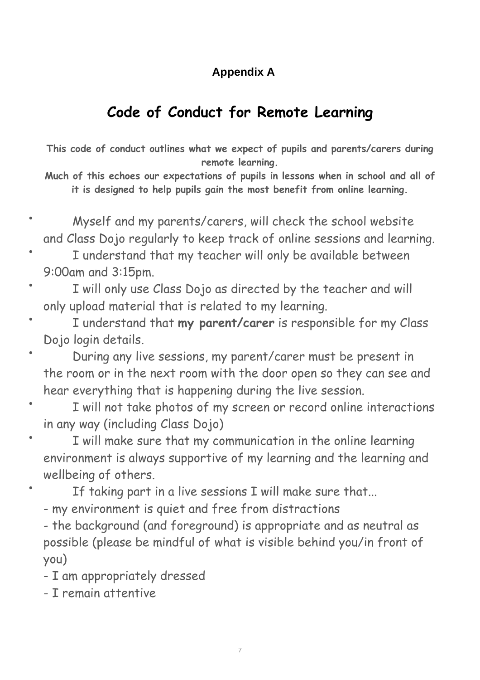# **Appendix A**

# **Code of Conduct for Remote Learning**

**This code of conduct outlines what we expect of pupils and parents/carers during remote learning.**

**Much of this echoes our expectations of pupils in lessons when in school and all of it is designed to help pupils gain the most benefit from online learning.**

- Myself and my parents/carers, will check the school website and Class Dojo regularly to keep track of online sessions and learning.
- I understand that my teacher will only be available between 9:00am and 3:15pm.
- I will only use Class Dojo as directed by the teacher and will only upload material that is related to my learning.
- I understand that **my parent/carer** is responsible for my Class Dojo login details.
- During any live sessions, my parent/carer must be present in the room or in the next room with the door open so they can see and hear everything that is happening during the live session.
- I will not take photos of my screen or record online interactions in any way (including Class Dojo)
- I will make sure that my communication in the online learning environment is always supportive of my learning and the learning and wellbeing of others.
	- If taking part in a live sessions I will make sure that...
	- my environment is quiet and free from distractions
	- the background (and foreground) is appropriate and as neutral as possible (please be mindful of what is visible behind you/in front of you)
	- I am appropriately dressed
	- I remain attentive

•